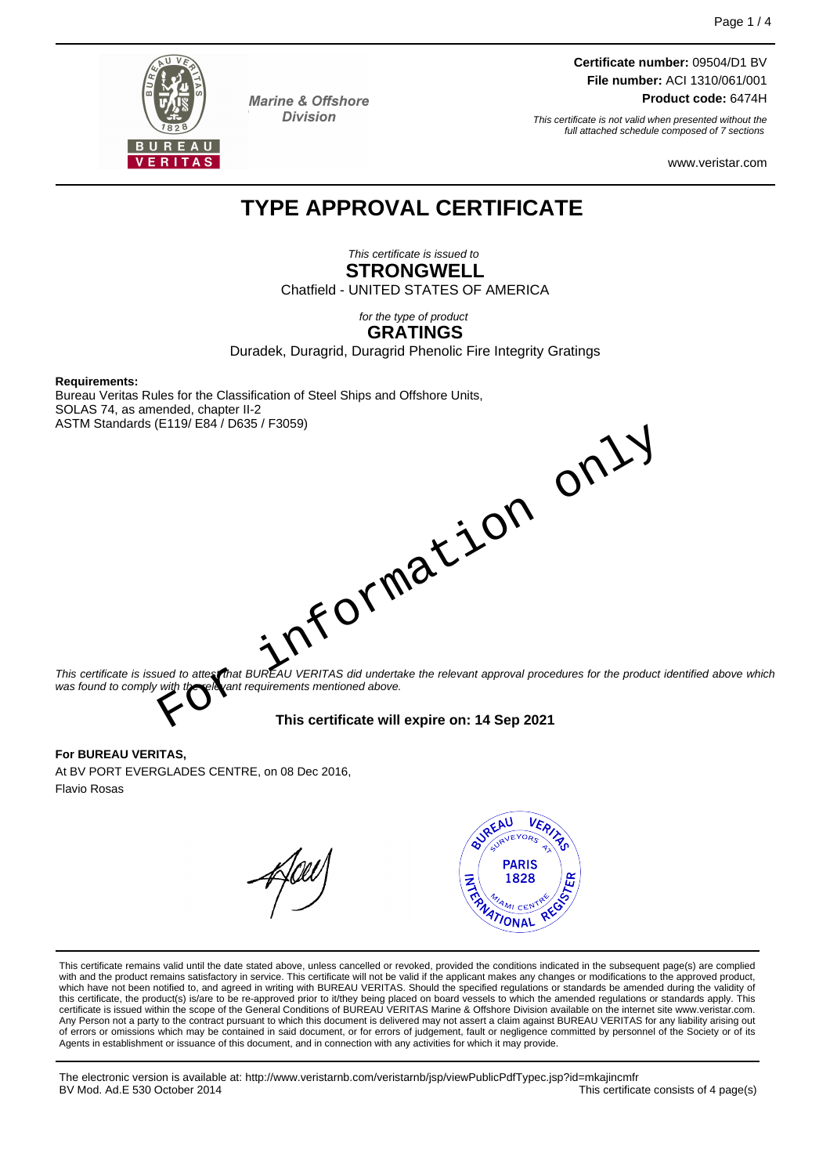

**Marine & Offshore Division** 

**Certificate number:** 09504/D1 BV **File number:** ACI 1310/061/001 **Product code:** 6474H

This certificate is not valid when presented without the full attached schedule composed of 7 sections

www.veristar.com

## **TYPE APPROVAL CERTIFICATE**

This certificate is issued to **STRONGWELL** Chatfield - UNITED STATES OF AMERICA

> for the type of product **GRATINGS**

Duradek, Duragrid, Duragrid Phenolic Fire Integrity Gratings

#### **Requirements:**

Bureau Veritas Rules for the Classification of Steel Ships and Offshore Units, SOLAS 74, as amended, chapter II-2 ASTM Standards (E119/ E84 / D635 / F3059)

This certificate is issued to attest *that BUREAU VERITAS did undertake the relevant approval procedures for the product identified above which* was found to comply with the relevant requirements mentioned above. reception only

**This certificate will expire on: 14 Sep 2021**

#### **For BUREAU VERITAS,**

At BV PORT EVERGLADES CENTRE, on 08 Dec 2016, Flavio Rosas



This certificate remains valid until the date stated above, unless cancelled or revoked, provided the conditions indicated in the subsequent page(s) are complied with and the product remains satisfactory in service. This certificate will not be valid if the applicant makes any changes or modifications to the approved product, which have not been notified to, and agreed in writing with BUREAU VERITAS. Should the specified regulations or standards be amended during the validity of<br>this certificate, the product(s) is/are to be re-approved prior to certificate is issued within the scope of the General Conditions of BUREAU VERITAS Marine & Offshore Division available on the internet site www.veristar.com. Any Person not a party to the contract pursuant to which this document is delivered may not assert a claim against BUREAU VERITAS for any liability arising out of errors or omissions which may be contained in said document, or for errors of judgement, fault or negligence committed by personnel of the Society or of its Agents in establishment or issuance of this document, and in connection with any activities for which it may provide.

The electronic version is available at: http://www.veristarnb.com/veristarnb/jsp/viewPublicPdfTypec.jsp?id=mkajincmfr BV Mod. Ad.E 530 October 2014 This certificate consists of 4 page(s)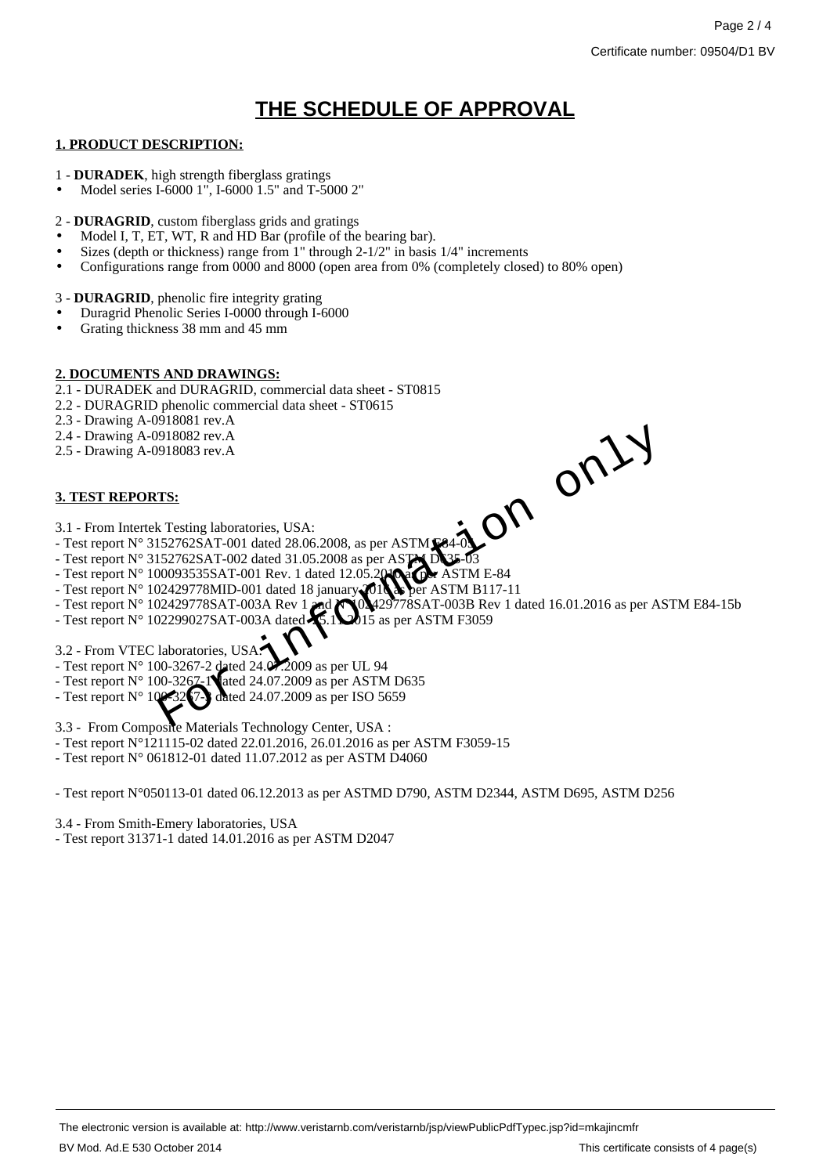# **THE SCHEDULE OF APPROVAL**

#### **1. PRODUCT DESCRIPTION:**

- 1 **DURADEK**, high strength fiberglass gratings
- Model series I-6000 1", I-6000 1.5" and T-5000 2"
- 2 **DURAGRID**, custom fiberglass grids and gratings
- Model I, T, ET, WT, R and HD Bar (profile of the bearing bar).
- Sizes (depth or thickness) range from 1" through 2-1/2" in basis 1/4" increments
- Configurations range from 0000 and 8000 (open area from 0% (completely closed) to 80% open)

3 - **DURAGRID**, phenolic fire integrity grating

- Duragrid Phenolic Series I-0000 through I-6000
- Grating thickness 38 mm and 45 mm

#### **2. DOCUMENTS AND DRAWINGS:**

- 2.1 DURADEK and DURAGRID, commercial data sheet ST0815
- 2.2 DURAGRID phenolic commercial data sheet ST0615
- 2.3 Drawing A-0918081 rev.A
- 2.4 Drawing A-0918082 rev.A
- 2.5 Drawing A-0918083 rev.A

### **3. TEST REPORTS:**



- 3.1 From Intertek Testing laboratories, USA:
- Test report  $N^{\circ}$  3152762SAT-001 dated 28.06.2008, as per ASTM E84-05
- Test report  $N^{\circ}$  3152762SAT-002 dated 31.05.2008 as per ASTM  $DS35-03$
- Test report  $N^{\circ}$  100093535SAT-001 Rev. 1 dated 12.05.2010 as ASTM E-84
- Test report N° 102429778MID-001 dated 18 january 2016 as per ASTM B117-11
- Test report N° 102429778MID-001 dated 18 january 2013 as per ASTM B117-11<br>- Test report N° 102429778SAT-003A Rev 1 and N°102429778SAT-003B Rev 1 dated 16.01.2016 as per ASTM E84-15b<br>- Test report N° 102299027SAT-003A da
- Test report  $N^{\circ}$  102299027SAT-003A dated  $\cancel{\mathcal{X}}$ .1 $\cancel{\mathcal{Q}}$ 15 as per ASTM F3059
- 3.2 From VTEC laboratories, USA:
- Test report  $N^{\circ}$  100-3267-2 dated 24.0.2.2009 as per UL 94
- Test report  $N^{\circ}$  100-3267-1 ated 24.07.2009 as per ASTM D635
- Test report N° 100-3247-3 dated 24.07.2009 as per ISO 5659
- 
- 3.3 From Composite Materials Technology Center, USA :
- Test report N°121115-02 dated 22.01.2016, 26.01.2016 as per ASTM F3059-15
- Test report N° 061812-01 dated 11.07.2012 as per ASTM D4060

- Test report N°050113-01 dated 06.12.2013 as per ASTMD D790, ASTM D2344, ASTM D695, ASTM D256

3.4 - From Smith-Emery laboratories, USA

- Test report 31371-1 dated 14.01.2016 as per ASTM D2047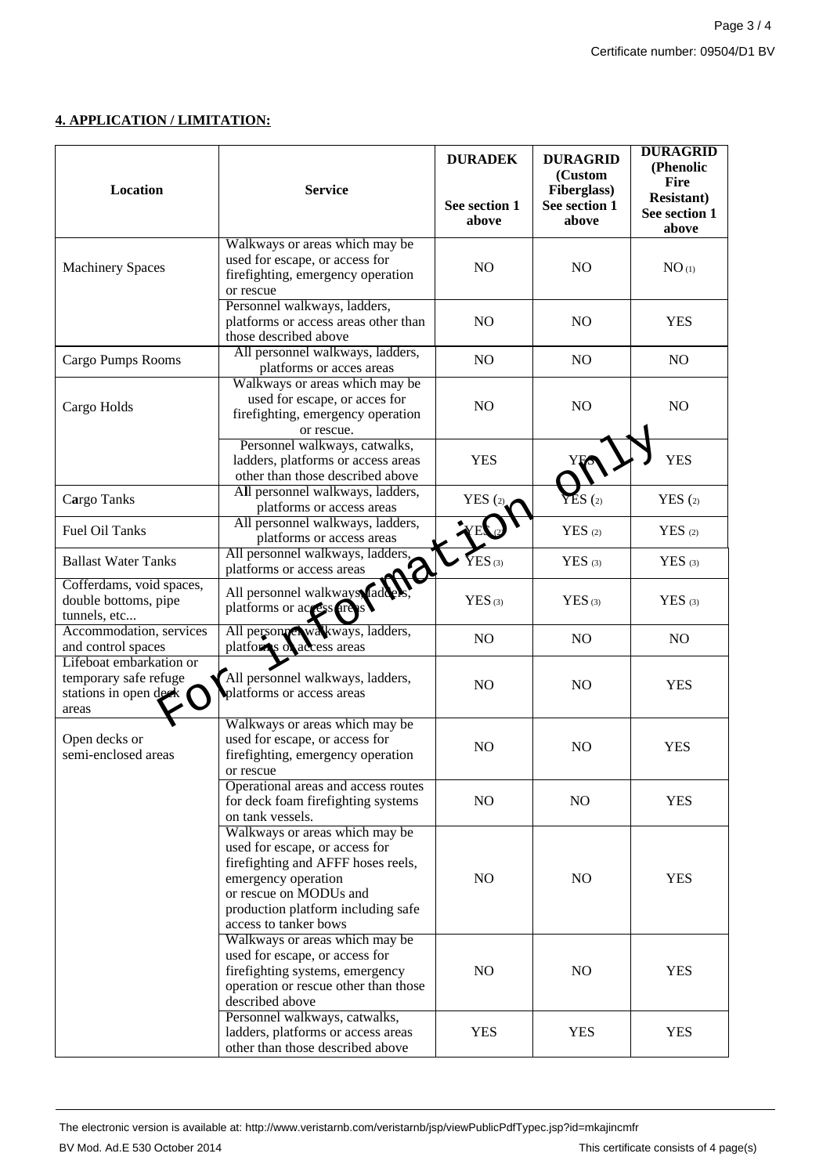### **4. APPLICATION / LIMITATION:**

| Location                                                                           | <b>Service</b>                                                                                                                                                                                                         | <b>DURADEK</b>         | <b>DURAGRID</b><br>(Custom<br>Fiberglass) | <b>DURAGRID</b><br>(Phenolic<br><b>Fire</b><br><b>Resistant</b> ) |
|------------------------------------------------------------------------------------|------------------------------------------------------------------------------------------------------------------------------------------------------------------------------------------------------------------------|------------------------|-------------------------------------------|-------------------------------------------------------------------|
|                                                                                    |                                                                                                                                                                                                                        | See section 1<br>above | See section 1<br>above                    | See section 1<br>above                                            |
| <b>Machinery Spaces</b>                                                            | Walkways or areas which may be<br>used for escape, or access for<br>firefighting, emergency operation<br>or rescue                                                                                                     | N <sub>O</sub>         | <b>NO</b>                                 | NO <sub>(1)</sub>                                                 |
|                                                                                    | Personnel walkways, ladders,<br>platforms or access areas other than<br>those described above                                                                                                                          | N <sub>O</sub>         | NO                                        | <b>YES</b>                                                        |
| Cargo Pumps Rooms                                                                  | All personnel walkways, ladders,<br>platforms or acces areas                                                                                                                                                           | NO                     | N <sub>O</sub>                            | N <sub>O</sub>                                                    |
| Cargo Holds                                                                        | Walkways or areas which may be<br>used for escape, or acces for<br>firefighting, emergency operation<br>or rescue.                                                                                                     | N <sub>O</sub>         | NO                                        | N <sub>O</sub>                                                    |
|                                                                                    | Personnel walkways, catwalks,<br>ladders, platforms or access areas<br>other than those described above                                                                                                                | <b>YES</b>             | YE.                                       | <b>YES</b>                                                        |
| Cargo Tanks                                                                        | All personnel walkways, ladders,<br>platforms or access areas                                                                                                                                                          | YES(2)                 | $\sum$ $\sum$ $S$ $(2)$                   | YES(2)                                                            |
| Fuel Oil Tanks                                                                     | All personnel walkways, ladders,<br>platforms or access areas                                                                                                                                                          | YES <sub>(2)</sub>     | $YES$ (2)                                 | $YES$ (2)                                                         |
| <b>Ballast Water Tanks</b>                                                         | All personnel walkways, ladders,<br>platforms or access areas                                                                                                                                                          | $YES_{(3)}$            | $YES$ (3)                                 | $YES$ (3)                                                         |
| Cofferdams, void spaces,<br>double bottoms, pipe<br>tunnels, etc                   | All personnel walkways Vaddel<br>platforms or access area                                                                                                                                                              | $YES$ (3)              | $YES$ (3)                                 | $YES$ (3)                                                         |
| Accommodation, services<br>and control spaces                                      | All personnel walkways, ladders,<br>platforms of access areas                                                                                                                                                          | NO                     | NO                                        | NO.                                                               |
| Lifeboat embarkation or<br>temporary safe refuge<br>stations in open deck<br>areas | All personnel walkways, ladders,<br>platforms or access areas                                                                                                                                                          | N <sub>O</sub>         | N <sub>O</sub>                            | <b>YES</b>                                                        |
| Open decks or<br>semi-enclosed areas                                               | Walkways or areas which may be<br>used for escape, or access for<br>firefighting, emergency operation<br>or rescue                                                                                                     | N <sub>O</sub>         | N <sub>O</sub>                            | <b>YES</b>                                                        |
|                                                                                    | Operational areas and access routes<br>for deck foam firefighting systems<br>on tank vessels.                                                                                                                          | NO                     | NO.                                       | <b>YES</b>                                                        |
|                                                                                    | Walkways or areas which may be<br>used for escape, or access for<br>firefighting and AFFF hoses reels,<br>emergency operation<br>or rescue on MODUs and<br>production platform including safe<br>access to tanker bows | N <sub>O</sub>         | NO.                                       | <b>YES</b>                                                        |
|                                                                                    | Walkways or areas which may be<br>used for escape, or access for<br>firefighting systems, emergency<br>operation or rescue other than those<br>described above                                                         | NO                     | NO.                                       | <b>YES</b>                                                        |
|                                                                                    | Personnel walkways, catwalks,<br>ladders, platforms or access areas<br>other than those described above                                                                                                                | <b>YES</b>             | <b>YES</b>                                | <b>YES</b>                                                        |

The electronic version is available at: http://www.veristarnb.com/veristarnb/jsp/viewPublicPdfTypec.jsp?id=mkajincmfr BV Mod. Ad.E 530 October 2014 **This certificate consists of 4 page(s)**